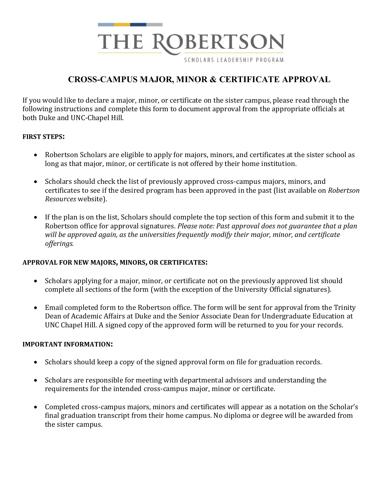

## **CROSS-CAMPUS MAJOR, MINOR & CERTIFICATE APPROVAL**

If you would like to declare a major, minor, or certificate on the sister campus, please read through the following instructions and complete this form to document approval from the appropriate officials at both Duke and UNC-Chapel Hill.

### **FIRST STEPS:**

- Robertson Scholars are eligible to apply for majors, minors, and certificates at the sister school as long as that major, minor, or certificate is not offered by their home institution.
- Scholars should check the list of previously approved cross-campus majors, minors, and certificates to see if the desired program has been approved in the past (list available on *Robertson Resources* website).
- If the plan is on the list, Scholars should complete the top section of this form and submit it to the Robertson office for approval signatures. *Please note: Past approval does not guarantee that a plan will be approved again, as the universities frequently modify their major, minor, and certificate offerings.*

### **APPROVAL FOR NEW MAJORS, MINORS, OR CERTIFICATES:**

- Scholars applying for a major, minor, or certificate not on the previously approved list should complete all sections of the form (with the exception of the University Official signatures).
- Email completed form to the Robertson office. The form will be sent for approval from the Trinity Dean of Academic Affairs at Duke and the Senior Associate Dean for Undergraduate Education at UNC Chapel Hill. A signed copy of the approved form will be returned to you for your records.

### **IMPORTANT INFORMATION:**

- Scholars should keep a copy of the signed approval form on file for graduation records.
- Scholars are responsible for meeting with departmental advisors and understanding the requirements for the intended cross-campus major, minor or certificate.
- Completed cross-campus majors, minors and certificates will appear as a notation on the Scholar's final graduation transcript from their home campus. No diploma or degree will be awarded from the sister campus.